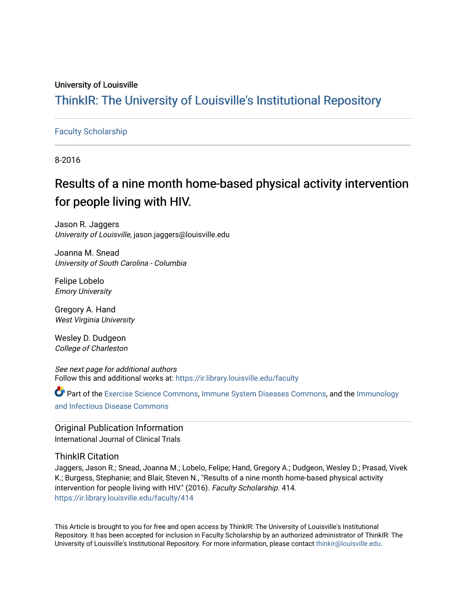# University of Louisville

# ThinkIR: The Univ[ersity of Louisville's Institutional Reposit](https://ir.library.louisville.edu/)ory

# [Faculty Scholarship](https://ir.library.louisville.edu/faculty)

8-2016

# Results of a nine month home-based physical activity intervention for people living with HIV.

Jason R. Jaggers University of Louisville, jason.jaggers@louisville.edu

Joanna M. Snead University of South Carolina - Columbia

Felipe Lobelo Emory University

Gregory A. Hand West Virginia University

Wesley D. Dudgeon College of Charleston

See next page for additional authors Follow this and additional works at: [https://ir.library.louisville.edu/faculty](https://ir.library.louisville.edu/faculty?utm_source=ir.library.louisville.edu%2Ffaculty%2F414&utm_medium=PDF&utm_campaign=PDFCoverPages)

Part of the [Exercise Science Commons](http://network.bepress.com/hgg/discipline/1091?utm_source=ir.library.louisville.edu%2Ffaculty%2F414&utm_medium=PDF&utm_campaign=PDFCoverPages), [Immune System Diseases Commons,](http://network.bepress.com/hgg/discipline/933?utm_source=ir.library.louisville.edu%2Ffaculty%2F414&utm_medium=PDF&utm_campaign=PDFCoverPages) and the [Immunology](http://network.bepress.com/hgg/discipline/33?utm_source=ir.library.louisville.edu%2Ffaculty%2F414&utm_medium=PDF&utm_campaign=PDFCoverPages) [and Infectious Disease Commons](http://network.bepress.com/hgg/discipline/33?utm_source=ir.library.louisville.edu%2Ffaculty%2F414&utm_medium=PDF&utm_campaign=PDFCoverPages) 

**Original Publication Information** International Journal of Clinical Trials

# ThinkIR Citation

Jaggers, Jason R.; Snead, Joanna M.; Lobelo, Felipe; Hand, Gregory A.; Dudgeon, Wesley D.; Prasad, Vivek K.; Burgess, Stephanie; and Blair, Steven N., "Results of a nine month home-based physical activity intervention for people living with HIV." (2016). Faculty Scholarship. 414. [https://ir.library.louisville.edu/faculty/414](https://ir.library.louisville.edu/faculty/414?utm_source=ir.library.louisville.edu%2Ffaculty%2F414&utm_medium=PDF&utm_campaign=PDFCoverPages) 

This Article is brought to you for free and open access by ThinkIR: The University of Louisville's Institutional Repository. It has been accepted for inclusion in Faculty Scholarship by an authorized administrator of ThinkIR: The University of Louisville's Institutional Repository. For more information, please contact [thinkir@louisville.edu](mailto:thinkir@louisville.edu).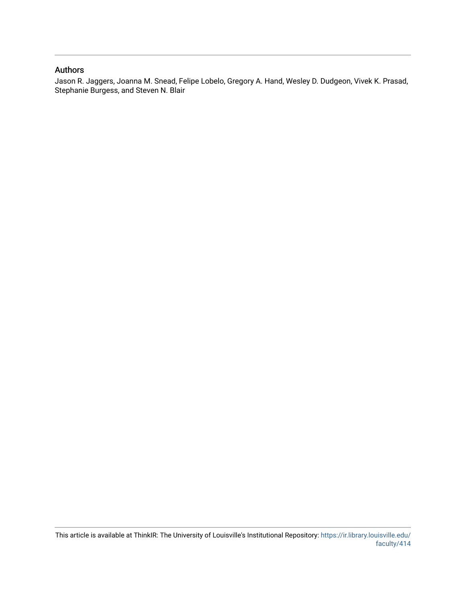# Authors

Jason R. Jaggers, Joanna M. Snead, Felipe Lobelo, Gregory A. Hand, Wesley D. Dudgeon, Vivek K. Prasad, Stephanie Burgess, and Steven N. Blair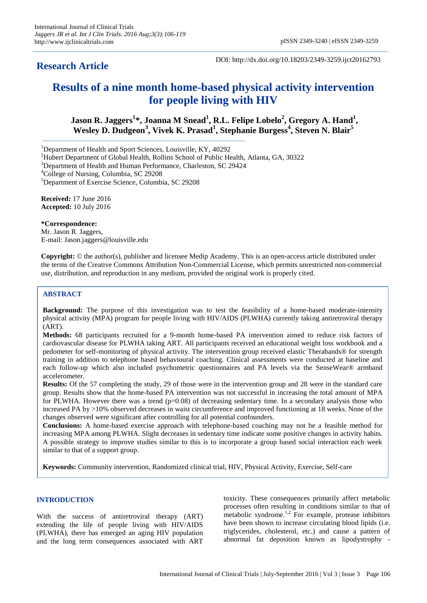# **Research Article**

DOI: http://dx.doi.org/10.18203/2349-3259.ijct20162793

# **Results of a nine month home-based physical activity intervention for people living with HIV**

**Jason R. Jaggers<sup>1</sup> \*, Joanna M Snead<sup>1</sup> , R.L. Felipe Lobelo<sup>2</sup> , Gregory A. Hand<sup>1</sup> , Wesley D. Dudgeon<sup>3</sup> , Vivek K. Prasad<sup>1</sup> , Stephanie Burgess<sup>4</sup> , Steven N. Blair<sup>5</sup>**

<sup>1</sup>Department of Health and Sport Sciences, Louisville, KY, 40292

<sup>2</sup>Hubert Department of Global Health, Rollins School of Public Health, Atlanta, GA, 30322

<sup>3</sup>Department of Health and Human Performance, Charleston, SC 29424

<sup>4</sup>College of Nursing, Columbia, SC 29208

<sup>5</sup>Department of Exercise Science, Columbia, SC 29208

**Received:** 17 June 2016 **Accepted:** 10 July 2016

**\*Correspondence:**

Mr. Jason R. Jaggers, E-mail: Jason.jaggers@louisville.edu

**Copyright:** © the author(s), publisher and licensee Medip Academy. This is an open-access article distributed under the terms of the Creative Commons Attribution Non-Commercial License, which permits unrestricted non-commercial use, distribution, and reproduction in any medium, provided the original work is properly cited.

#### **ABSTRACT**

**Background:** The purpose of this investigation was to test the feasibility of a home-based moderate-intensity physical activity (MPA) program for people living with HIV/AIDS (PLWHA) currently taking antiretroviral therapy (ART).

**Methods:** 68 participants recruited for a 9-month home-based PA intervention aimed to reduce risk factors of cardiovascular disease for PLWHA taking ART. All participants received an educational weight loss workbook and a pedometer for self-monitoring of physical activity. The intervention group received elastic Therabands® for strength training in addition to telephone based behavioural coaching. Clinical assessments were conducted at baseline and each follow-up which also included psychometric questionnaires and PA levels via the SenseWear® armband accelerometer.

**Results:** Of the 57 completing the study, 29 of those were in the intervention group and 28 were in the standard care group. Results show that the home-based PA intervention was not successful in increasing the total amount of MPA for PLWHA. However there was a trend  $(p=0.08)$  of decreasing sedentary time. In a secondary analysis those who increased PA by >10% observed decreases in waist circumference and improved functioning at 18 weeks. None of the changes observed were significant after controlling for all potential confounders.

**Conclusions:** A home-based exercise approach with telephone-based coaching may not be a feasible method for increasing MPA among PLWHA. Slight decreases in sedentary time indicate some positive changes in activity habits. A possible strategy to improve studies similar to this is to incorporate a group based social interaction each week similar to that of a support group.

**Keywords:** Community intervention, Randomized clinical trial, HIV, Physical Activity, Exercise, Self-care

### **INTRODUCTION**

With the success of antiretroviral therapy (ART) extending the life of people living with HIV/AIDS (PLWHA), there has emerged an aging HIV population and the long term consequences associated with ART toxicity. These consequences primarily affect metabolic processes often resulting in conditions similar to that of metabolic syndrome.<sup>1,2</sup> For example, protease inhibitors have been shown to increase circulating blood lipids (i.e. triglycerides, cholesterol, etc.) and cause a pattern of abnormal fat deposition known as lipodystrophy -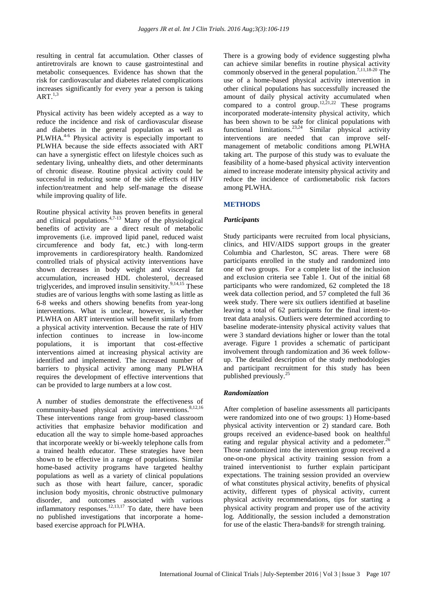resulting in central fat accumulation. Other classes of antiretrovirals are known to cause gastrointestinal and metabolic consequences. Evidence has shown that the risk for cardiovascular and diabetes related complications increases significantly for every year a person is taking ART. $^{1,3}$ 

Physical activity has been widely accepted as a way to reduce the incidence and risk of cardiovascular disease and diabetes in the general population as well as PLWHA.<sup>4-6</sup> Physical activity is especially important to PLWHA because the side effects associated with ART can have a synergistic effect on lifestyle choices such as sedentary living, unhealthy diets, and other determinants of chronic disease. Routine physical activity could be successful in reducing some of the side effects of HIV infection/treatment and help self-manage the disease while improving quality of life.

Routine physical activity has proven benefits in general and clinical populations.4,7-13 Many of the physiological benefits of activity are a direct result of metabolic improvements (i.e. improved lipid panel, reduced waist circumference and body fat, etc.) with long-term improvements in cardiorespiratory health. Randomized controlled trials of physical activity interventions have shown decreases in body weight and visceral fat accumulation, increased HDL cholesterol, decreased triglycerides, and improved insulin sensitivity.<sup>9,14,15</sup> These studies are of various lengths with some lasting as little as 6-8 weeks and others showing benefits from year-long interventions. What is unclear, however, is whether PLWHA on ART intervention will benefit similarly from a physical activity intervention. Because the rate of HIV infection continues to increase in low-income populations, it is important that cost-effective interventions aimed at increasing physical activity are identified and implemented. The increased number of barriers to physical activity among many PLWHA requires the development of effective interventions that can be provided to large numbers at a low cost.

A number of studies demonstrate the effectiveness of community-based physical activity interventions.<sup>8,12,16</sup> These interventions range from group-based classroom activities that emphasize behavior modification and education all the way to simple home-based approaches that incorporate weekly or bi-weekly telephone calls from a trained health educator. These strategies have been shown to be effective in a range of populations. Similar home-based activity programs have targeted healthy populations as well as a variety of clinical populations such as those with heart failure, cancer, sporadic inclusion body myositis, chronic obstructive pulmonary disorder, and outcomes associated with various inflammatory responses. $^{12,13,17}$  To date, there have been no published investigations that incorporate a homebased exercise approach for PLWHA.

There is a growing body of evidence suggesting plwha can achieve similar benefits in routine physical activity commonly observed in the general population.<sup>7,11,18-20</sup> The use of a home-based physical activity intervention in other clinical populations has successfully increased the amount of daily physical activity accumulated when compared to a control group.<sup>12,21,22</sup> These programs incorporated moderate-intensity physical activity, which has been shown to be safe for clinical populations with functional limitations.<sup>23,24</sup> Similar physical activity interventions are needed that can improve selfmanagement of metabolic conditions among PLWHA taking art. The purpose of this study was to evaluate the feasibility of a home-based physical activity intervention aimed to increase moderate intensity physical activity and reduce the incidence of cardiometabolic risk factors among PLWHA.

#### **METHODS**

#### *Participants*

Study participants were recruited from local physicians, clinics, and HIV/AIDS support groups in the greater Columbia and Charleston, SC areas. There were 68 participants enrolled in the study and randomized into one of two groups. For a complete list of the inclusion and exclusion criteria see Table 1. Out of the initial 68 participants who were randomized, 62 completed the 18 week data collection period, and 57 completed the full 36 week study. There were six outliers identified at baseline leaving a total of 62 participants for the final intent-totreat data analysis. Outliers were determined according to baseline moderate-intensity physical activity values that were 3 standard deviations higher or lower than the total average. Figure 1 provides a schematic of participant involvement through randomization and 36 week followup. The detailed description of the study methodologies and participant recruitment for this study has been published previously.<sup>25</sup>

#### *Randomization*

After completion of baseline assessments all participants were randomized into one of two groups: 1) Home-based physical activity intervention or 2) standard care. Both groups received an evidence-based book on healthful eating and regular physical activity and a pedometer.<sup>26</sup> Those randomized into the intervention group received a one-on-one physical activity training session from a trained interventionist to further explain participant expectations. The training session provided an overview of what constitutes physical activity, benefits of physical activity, different types of physical activity, current physical activity recommendations, tips for starting a physical activity program and proper use of the activity log. Additionally, the session included a demonstration for use of the elastic Thera-bands® for strength training.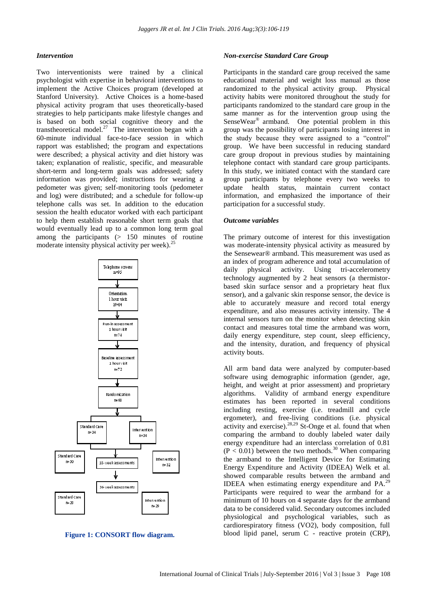#### *Intervention*

Two interventionists were trained by a clinical psychologist with expertise in behavioral interventions to implement the Active Choices program (developed at Stanford University). Active Choices is a home-based physical activity program that uses theoretically-based strategies to help participants make lifestyle changes and is based on both social cognitive theory and the transtheoretical model.<sup>27</sup> The intervention began with a 60-minute individual face-to-face session in which rapport was established; the program and expectations were described; a physical activity and diet history was taken; explanation of realistic, specific, and measurable short-term and long-term goals was addressed; safety information was provided; instructions for wearing a pedometer was given; self-monitoring tools (pedometer and log) were distributed; and a schedule for follow-up telephone calls was set. In addition to the education session the health educator worked with each participant to help them establish reasonable short term goals that would eventually lead up to a common long term goal among the participants (> 150 minutes of routine moderate intensity physical activity per week).<sup>25</sup>



**Figure 1: CONSORT flow diagram.**

#### *Non-exercise Standard Care Group*

Participants in the standard care group received the same educational material and weight loss manual as those randomized to the physical activity group. Physical activity habits were monitored throughout the study for participants randomized to the standard care group in the same manner as for the intervention group using the SenseWear® armband. One potential problem in this group was the possibility of participants losing interest in the study because they were assigned to a "control" group. We have been successful in reducing standard care group dropout in previous studies by maintaining telephone contact with standard care group participants. In this study, we initiated contact with the standard care group participants by telephone every two weeks to update health status, maintain current contact information, and emphasized the importance of their participation for a successful study.

#### *Outcome variables*

The primary outcome of interest for this investigation was moderate-intensity physical activity as measured by the Sensewear® armband. This measurement was used as an index of program adherence and total accumulation of daily physical activity. Using tri-accelerometry technology augmented by 2 heat sensors (a thermistorbased skin surface sensor and a proprietary heat flux sensor), and a galvanic skin response sensor, the device is able to accurately measure and record total energy expenditure, and also measures activity intensity. The 4 internal sensors turn on the monitor when detecting skin contact and measures total time the armband was worn, daily energy expenditure, step count, sleep efficiency, and the intensity, duration, and frequency of physical activity bouts.

All arm band data were analyzed by computer-based software using demographic information (gender, age, height, and weight at prior assessment) and proprietary algorithms. Validity of armband energy expenditure estimates has been reported in several conditions including resting, exercise (i.e. treadmill and cycle ergometer), and free-living conditions (i.e. physical activity and exercise).<sup>28,29</sup> St-Onge et al. found that when comparing the armband to doubly labeled water daily energy expenditure had an interclass correlation of 0.81  $(P < 0.01)$  between the two methods.<sup>30</sup> When comparing the armband to the Intelligent Device for Estimating Energy Expenditure and Activity (IDEEA) Welk et al. showed comparable results between the armband and IDEEA when estimating energy expenditure and  $PA<sup>29</sup>$ . Participants were required to wear the armband for a minimum of 10 hours on 4 separate days for the armband data to be considered valid. Secondary outcomes included physiological and psychological variables, such as cardiorespiratory fitness (VO2), body composition, full blood lipid panel, serum C - reactive protein (CRP),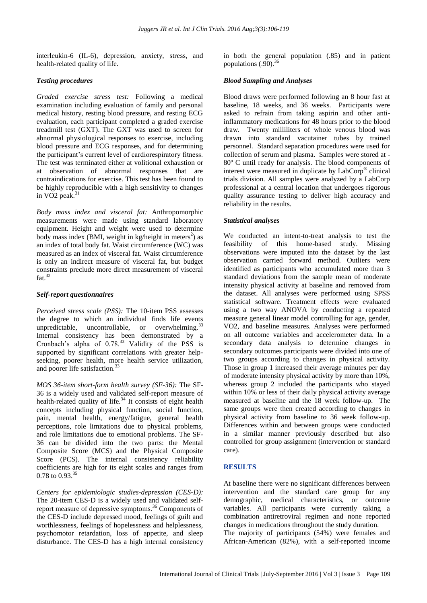interleukin-6 (IL-6), depression, anxiety, stress, and health-related quality of life.

#### *Testing procedures*

*Graded exercise stress test:* Following a medical examination including evaluation of family and personal medical history, resting blood pressure, and resting ECG evaluation, each participant completed a graded exercise treadmill test (GXT). The GXT was used to screen for abnormal physiological responses to exercise, including blood pressure and ECG responses, and for determining the participant's current level of cardiorespiratory fitness. The test was terminated either at volitional exhaustion or at observation of abnormal responses that are contraindications for exercise. This test has been found to be highly reproducible with a high sensitivity to changes in VO<sub>2</sub> peak.<sup>31</sup>

*Body mass index and visceral fat:* Anthropomorphic measurements were made using standard laboratory equipment. Height and weight were used to determine body mass index (BMI, weight in kg/height in meters<sup>2</sup>) as an index of total body fat. Waist circumference (WC) was measured as an index of visceral fat. Waist circumference is only an indirect measure of visceral fat, but budget constraints preclude more direct measurement of visceral fat. $^{32}$ 

#### *Self-report questionnaires*

*Perceived stress scale (PSS):* The 10-item PSS assesses the degree to which an individual finds life events unpredictable, uncontrollable, or overwhelming.  $33$ Internal consistency has been demonstrated by a Cronbach's alpha of  $0.78<sup>33</sup>$  Validity of the PSS is supported by significant correlations with greater helpseeking, poorer health, more health service utilization, and poorer life satisfaction.<sup>33</sup>

*MOS 36-item short-form health survey (SF-36):* The SF-36 is a widely used and validated self-report measure of health-related quality of life.<sup>34</sup> It consists of eight health concepts including physical function, social function, pain, mental health, energy/fatigue, general health perceptions, role limitations due to physical problems, and role limitations due to emotional problems. The SF-36 can be divided into the two parts: the Mental Composite Score (MCS) and the Physical Composite Score (PCS). The internal consistency reliability coefficients are high for its eight scales and ranges from 0.78 to 0.93.<sup>35</sup>

*Centers for epidemiologic studies-depression (CES-D):*  The 20-item CES-D is a widely used and validated selfreport measure of depressive symptoms.<sup>36</sup> Components of the CES-D include depressed mood, feelings of guilt and worthlessness, feelings of hopelessness and helplessness, psychomotor retardation, loss of appetite, and sleep disturbance. The CES-D has a high internal consistency in both the general population (.85) and in patient populations  $(.90)$ .<sup>36</sup>

### *Blood Sampling and Analyses*

Blood draws were performed following an 8 hour fast at baseline, 18 weeks, and 36 weeks. Participants were asked to refrain from taking aspirin and other antiinflammatory medications for 48 hours prior to the blood draw. Twenty milliliters of whole venous blood was drawn into standard vacutainer tubes by trained personnel. Standard separation procedures were used for collection of serum and plasma. Samples were stored at - 80º C until ready for analysis. The blood components of interest were measured in duplicate by LabCorp® clinical trials division. All samples were analyzed by a LabCorp professional at a central location that undergoes rigorous quality assurance testing to deliver high accuracy and reliability in the results.

### *Statistical analyses*

We conducted an intent-to-treat analysis to test the feasibility of this home-based study. Missing observations were imputed into the dataset by the last observation carried forward method. Outliers were identified as participants who accumulated more than 3 standard deviations from the sample mean of moderate intensity physical activity at baseline and removed from the dataset. All analyses were performed using SPSS statistical software. Treatment effects were evaluated using a two way ANOVA by conducting a repeated measure general linear model controlling for age, gender, VO2, and baseline measures. Analyses were performed on all outcome variables and accelerometer data. In a secondary data analysis to determine changes in secondary outcomes participants were divided into one of two groups according to changes in physical activity. Those in group 1 increased their average minutes per day of moderate intensity physical activity by more than 10%, whereas group 2 included the participants who stayed within 10% or less of their daily physical activity average measured at baseline and the 18 week follow-up. The same groups were then created according to changes in physical activity from baseline to 36 week follow-up. Differences within and between groups were conducted in a similar manner previously described but also controlled for group assignment (intervention or standard care).

## **RESULTS**

At baseline there were no significant differences between intervention and the standard care group for any demographic, medical characteristics, or outcome variables. All participants were currently taking a combination antiretroviral regimen and none reported changes in medications throughout the study duration.

The majority of participants (54%) were females and African-American (82%), with a self-reported income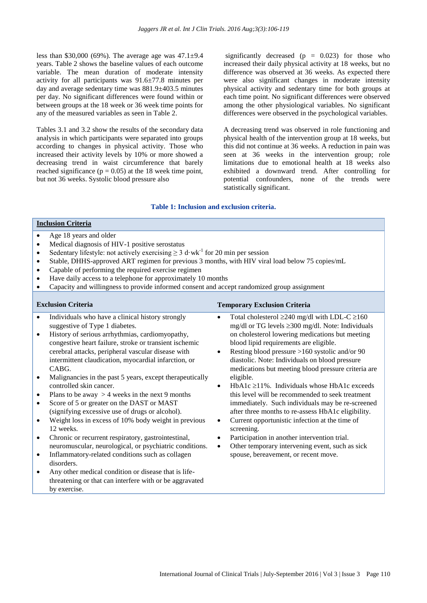less than \$30,000 (69%). The average age was  $47.1 \pm 9.4$ years. Table 2 shows the baseline values of each outcome variable. The mean duration of moderate intensity activity for all participants was 91.6±77.8 minutes per day and average sedentary time was 881.9±403.5 minutes per day. No significant differences were found within or between groups at the 18 week or 36 week time points for any of the measured variables as seen in Table 2.

Tables 3.1 and 3.2 show the results of the secondary data analysis in which participants were separated into groups according to changes in physical activity. Those who increased their activity levels by 10% or more showed a decreasing trend in waist circumference that barely reached significance ( $p = 0.05$ ) at the 18 week time point, but not 36 weeks. Systolic blood pressure also

significantly decreased ( $p = 0.023$ ) for those who increased their daily physical activity at 18 weeks, but no difference was observed at 36 weeks. As expected there were also significant changes in moderate intensity physical activity and sedentary time for both groups at each time point. No significant differences were observed among the other physiological variables. No significant differences were observed in the psychological variables.

A decreasing trend was observed in role functioning and physical health of the intervention group at 18 weeks, but this did not continue at 36 weeks. A reduction in pain was seen at 36 weeks in the intervention group; role limitations due to emotional health at 18 weeks also exhibited a downward trend. After controlling for potential confounders, none of the trends were statistically significant.

#### **Table 1: Inclusion and exclusion criteria.**

#### **Inclusion Criteria**

- Age 18 years and older
- Medical diagnosis of HIV-1 positive serostatus
- Sedentary lifestyle: not actively exercising  $\geq 3$  d·wk<sup>-1</sup> for 20 min per session
- Stable, DHHS-approved ART regimen for previous 3 months, with HIV viral load below 75 copies/mL
- Capable of performing the required exercise regimen
- Have daily access to a telephone for approximately 10 months
- Capacity and willingness to provide informed consent and accept randomized group assignment

- Individuals who have a clinical history strongly suggestive of Type 1 diabetes.
- History of serious arrhythmias, cardiomyopathy, congestive heart failure, stroke or transient ischemic cerebral attacks, peripheral vascular disease with intermittent claudication, myocardial infarction, or CABG.
- Malignancies in the past 5 years, except therapeutically controlled skin cancer.
- Plans to be away  $> 4$  weeks in the next 9 months
- Score of 5 or greater on the DAST or MAST (signifying excessive use of drugs or alcohol).
- Weight loss in excess of 10% body weight in previous 12 weeks.
- Chronic or recurrent respiratory, gastrointestinal, neuromuscular, neurological, or psychiatric conditions.
- Inflammatory-related conditions such as collagen disorders.
- Any other medical condition or disease that is lifethreatening or that can interfere with or be aggravated by exercise.

# **Exclusion Criteria** Temporary Exclusion Criteria Temporary Exclusion Criteria

- Total cholesterol  $\geq 240$  mg/dl with LDL-C  $\geq 160$ mg/dl or TG levels  $\geq 300$  mg/dl. Note: Individuals on cholesterol lowering medications but meeting blood lipid requirements are eligible.
- Resting blood pressure >160 systolic and/or 90 diastolic. Note: Individuals on blood pressure medications but meeting blood pressure criteria are eligible.
- HbA1c  $\ge$ 11%. Individuals whose HbA1c exceeds this level will be recommended to seek treatment immediately. Such individuals may be re-screened after three months to re-assess HbA1c eligibility.
- Current opportunistic infection at the time of screening.
- Participation in another intervention trial.
- Other temporary intervening event, such as sick spouse, bereavement, or recent move.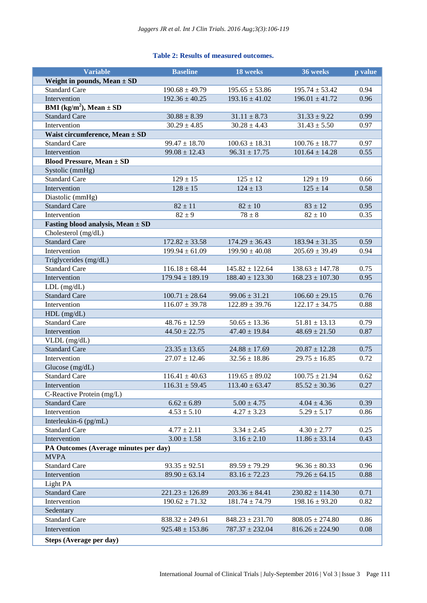# **Table 2: Results of measured outcomes.**

| <b>Variable</b>                                | <b>Baseline</b>     | 18 weeks            | 36 weeks            | p value |
|------------------------------------------------|---------------------|---------------------|---------------------|---------|
| Weight in pounds, Mean $\pm$ SD                |                     |                     |                     |         |
| <b>Standard Care</b>                           | $190.68 \pm 49.79$  | $195.65 \pm 53.86$  | $195.74 \pm 53.42$  | 0.94    |
| Intervention                                   | $192.36 \pm 40.25$  | $193.16 \pm 41.02$  | $196.01 \pm 41.72$  | 0.96    |
| <b>BMI</b> (kg/m <sup>2</sup> ), Mean $\pm$ SD |                     |                     |                     |         |
| <b>Standard Care</b>                           | $30.88 \pm 8.39$    | $31.11 \pm 8.73$    | $31.33 \pm 9.22$    | 0.99    |
| Intervention                                   | $30.29 \pm 4.85$    | $30.28 \pm 4.43$    | $31.43 \pm 5.50$    | 0.97    |
| Waist circumference, Mean $\pm$ SD             |                     |                     |                     |         |
| <b>Standard Care</b>                           | $99.47 \pm 18.70$   | $100.63 \pm 18.31$  | $100.76 \pm 18.77$  | 0.97    |
| Intervention                                   | $99.08 \pm 12.43$   | $96.31 \pm 17.75$   | $101.64 \pm 14.28$  | 0.55    |
| <b>Blood Pressure, Mean ± SD</b>               |                     |                     |                     |         |
| Systolic (mmHg)                                |                     |                     |                     |         |
| <b>Standard Care</b>                           | $129 \pm 15$        | $125 \pm 12$        | $129 \pm 19$        | 0.66    |
| Intervention                                   | $128 \pm 15$        | $124 \pm 13$        | $125 \pm 14$        | 0.58    |
| Diastolic (mmHg)                               |                     |                     |                     |         |
| <b>Standard Care</b>                           | $82 \pm 11$         | $82 \pm 10$         | $83 \pm 12$         | 0.95    |
| Intervention                                   | $82 \pm 9$          | $78 \pm 8$          | $82 \pm 10$         | 0.35    |
| Fasting blood analysis, Mean $\pm$ SD          |                     |                     |                     |         |
| Cholesterol (mg/dL)                            |                     |                     |                     |         |
| <b>Standard Care</b>                           | $172.82 \pm 33.58$  | $174.29 \pm 36.43$  | $183.94 \pm 31.35$  | 0.59    |
| Intervention                                   | $199.94 \pm 61.09$  | $199.90 \pm 40.08$  | $205.69 \pm 39.49$  | 0.94    |
| Triglycerides (mg/dL)                          |                     |                     |                     |         |
| <b>Standard Care</b>                           | $116.18 \pm 68.44$  | $145.82 \pm 122.64$ | $138.63 \pm 147.78$ | 0.75    |
| Intervention                                   | $179.94 \pm 189.19$ | $188.40 \pm 123.30$ | $168.23 \pm 107.30$ | 0.95    |
| $LDL$ (mg/dL)                                  |                     |                     |                     |         |
| <b>Standard Care</b>                           | $100.71 \pm 28.64$  | $99.06 \pm 31.21$   | $106.60 \pm 29.15$  | 0.76    |
| Intervention                                   | $116.07 \pm 39.78$  | $122.89 \pm 39.76$  | $122.17 \pm 34.75$  | 0.88    |
| $HDL$ (mg/dL)                                  |                     |                     |                     |         |
| <b>Standard Care</b>                           | $48.76 \pm 12.59$   | $50.65 \pm 13.36$   | $51.81 \pm 13.13$   | 0.79    |
| Intervention                                   | $44.50 \pm 22.75$   | $47.40 \pm 19.84$   | $48.69 \pm 21.50$   | 0.87    |
| VLDL (mg/dL)                                   |                     |                     |                     |         |
| <b>Standard Care</b>                           | $23.35 \pm 13.65$   | $24.88 \pm 17.69$   | $20.87 \pm 12.28$   | 0.75    |
| Intervention                                   | $27.07 \pm 12.46$   | $32.56 \pm 18.86$   | $29.75 \pm 16.85$   | 0.72    |
| Glucose $(mg/dL)$                              |                     |                     |                     |         |
| <b>Standard Care</b>                           | $116.41 \pm 40.63$  | $119.65 \pm 89.02$  | $100.75 \pm 21.94$  | 0.62    |
| Intervention                                   | $116.31 \pm 59.45$  | $113.40 \pm 63.47$  | $85.52 \pm 30.36$   | 0.27    |
| C-Reactive Protein (mg/L)                      |                     |                     |                     |         |
| <b>Standard Care</b>                           | $6.62 \pm 6.89$     | $5.00 \pm 4.75$     | $4.04 \pm 4.36$     | 0.39    |
| Intervention                                   | $4.53 \pm 5.10$     | $4.27 \pm 3.23$     | $5.29 \pm 5.17$     | 0.86    |
| Interleukin-6 $(pg/mL)$                        |                     |                     |                     |         |
| <b>Standard Care</b>                           | $4.77 \pm 2.11$     | $3.34 \pm 2.45$     | $4.30 \pm 2.77$     | 0.25    |
| Intervention                                   | $3.00 \pm 1.58$     | $3.16 \pm 2.10$     | $11.86 \pm 33.14$   | 0.43    |
| PA Outcomes (Average minutes per day)          |                     |                     |                     |         |
| <b>MVPA</b>                                    |                     |                     |                     |         |
| <b>Standard Care</b>                           | $93.35 \pm 92.51$   | $89.59 \pm 79.29$   | $96.36 \pm 80.33$   | 0.96    |
| Intervention                                   | $89.90 \pm 63.14$   | $83.16 \pm 72.23$   | $79.26 \pm 64.15$   | 0.88    |
| Light PA                                       |                     |                     |                     |         |
| <b>Standard Care</b>                           | $221.23 \pm 126.89$ | $203.36 \pm 84.41$  | $230.82 \pm 114.30$ | 0.71    |
| Intervention                                   | $190.62 \pm 71.32$  | $181.74 \pm 74.79$  | $198.16 \pm 93.20$  | 0.82    |
| Sedentary                                      |                     |                     |                     |         |
| <b>Standard Care</b>                           | $838.32 \pm 249.61$ | $848.23 \pm 231.70$ | $808.05 \pm 274.80$ | 0.86    |
| Intervention                                   | $925.48 \pm 153.86$ | $787.37 \pm 232.04$ | $816.26 \pm 224.90$ | 0.08    |
| Steps (Average per day)                        |                     |                     |                     |         |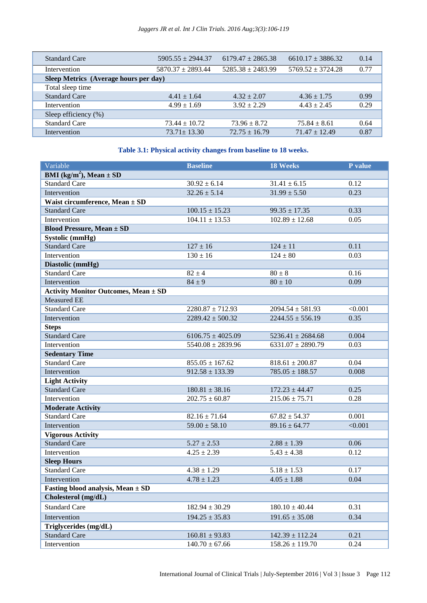| <b>Standard Care</b>                  | $5905.55 \pm 2944.37$ | $6179.47 \pm 2865.38$ | $6610.17 \pm 3886.32$ | 0.14 |
|---------------------------------------|-----------------------|-----------------------|-----------------------|------|
| Intervention                          | $5870.37 + 2893.44$   | $5285.38 \pm 2483.99$ | $5769.52 + 3724.28$   | 0.77 |
| Sleep Metrics (Average hours per day) |                       |                       |                       |      |
| Total sleep time                      |                       |                       |                       |      |
| <b>Standard Care</b>                  | $4.41 \pm 1.64$       | $4.32 \pm 2.07$       | $4.36 \pm 1.75$       | 0.99 |
| Intervention                          | $4.99 \pm 1.69$       | $3.92 \pm 2.29$       | $4.43 \pm 2.45$       | 0.29 |
| Sleep efficiency $(\%)$               |                       |                       |                       |      |
| <b>Standard Care</b>                  | $73.44 \pm 10.72$     | $73.96 \pm 8.72$      | $75.84 \pm 8.61$      | 0.64 |
| Intervention                          | $73.71 \pm 13.30$     | $72.75 \pm 16.79$     | $71.47 \pm 12.49$     | 0.87 |

# **Table 3.1: Physical activity changes from baseline to 18 weeks.**

| Variable                                       | <b>Baseline</b>       | <b>18 Weeks</b>       | P value |
|------------------------------------------------|-----------------------|-----------------------|---------|
| <b>BMI</b> (kg/m <sup>2</sup> ), Mean $\pm$ SD |                       |                       |         |
| <b>Standard Care</b>                           | $30.92 \pm 6.14$      | $31.41 \pm 6.15$      | 0.12    |
| Intervention                                   | $32.26 \pm 5.14$      | $31.99 \pm 5.50$      | 0.23    |
| Waist circumference, Mean $\pm$ SD             |                       |                       |         |
| <b>Standard Care</b>                           | $100.15 \pm 15.23$    | $99.35 \pm 17.35$     | 0.33    |
| Intervention                                   | $104.11 \pm 13.53$    | $102.89 \pm 12.68$    | 0.05    |
| <b>Blood Pressure, Mean ± SD</b>               |                       |                       |         |
| <b>Systolic (mmHg)</b>                         |                       |                       |         |
| <b>Standard Care</b>                           | $127 \pm 16$          | $124 \pm 11$          | 0.11    |
| Intervention                                   | $130 \pm 16$          | $124 \pm 80$          | 0.03    |
| Diastolic (mmHg)                               |                       |                       |         |
| <b>Standard Care</b>                           | $82 \pm 4$            | $80 \pm 8$            | 0.16    |
| Intervention                                   | $84 \pm 9$            | $80 \pm 10$           | 0.09    |
| <b>Activity Monitor Outcomes, Mean ± SD</b>    |                       |                       |         |
| <b>Measured EE</b>                             |                       |                       |         |
| <b>Standard Care</b>                           | $2280.87 \pm 712.93$  | $2094.54 \pm 581.93$  | < 0.001 |
| Intervention                                   | $2289.42 \pm 500.32$  | $2244.55 \pm 556.19$  | 0.35    |
| <b>Steps</b>                                   |                       |                       |         |
| <b>Standard Care</b>                           | $6106.75 \pm 4025.09$ | $5236.41 \pm 2684.68$ | 0.004   |
| Intervention                                   | $5540.08 \pm 2839.96$ | $6331.07 \pm 2890.79$ | 0.03    |
| <b>Sedentary Time</b>                          |                       |                       |         |
| <b>Standard Care</b>                           | $855.05 \pm 167.62$   | $818.61 \pm 200.87$   | 0.04    |
| Intervention                                   | $912.58 \pm 133.39$   | $785.05 \pm 188.57$   | 0.008   |
| <b>Light Activity</b>                          |                       |                       |         |
| <b>Standard Care</b>                           | $180.81 \pm 38.16$    | $172.23 \pm 44.47$    | 0.25    |
| Intervention                                   | $202.75 \pm 60.87$    | $215.06 \pm 75.71$    | 0.28    |
| <b>Moderate Activity</b>                       |                       |                       |         |
| <b>Standard Care</b>                           | $82.16 \pm 71.64$     | $67.82 \pm 54.37$     | 0.001   |
| Intervention                                   | $59.00 \pm 58.10$     | $89.16 \pm 64.77$     | < 0.001 |
| <b>Vigorous Activity</b>                       |                       |                       |         |
| <b>Standard Care</b>                           | $5.27 \pm 2.53$       | $2.88 \pm 1.39$       | 0.06    |
| Intervention                                   | $4.25 \pm 2.39$       | $5.43 \pm 4.38$       | 0.12    |
| <b>Sleep Hours</b>                             |                       |                       |         |
| <b>Standard Care</b>                           | $4.38 \pm 1.29$       | $5.18 \pm 1.53$       | 0.17    |
| Intervention                                   | $4.78 \pm 1.23$       | $4.05 \pm 1.88$       | 0.04    |
| Fasting blood analysis, Mean $\pm$ SD          |                       |                       |         |
| Cholesterol (mg/dL)                            |                       |                       |         |
| <b>Standard Care</b>                           | $182.94 \pm 30.29$    | $180.10 \pm 40.44$    | 0.31    |
| Intervention                                   | $194.25 \pm 35.83$    | $191.65 \pm 35.08$    | 0.34    |
| Triglycerides (mg/dL)                          |                       |                       |         |
| <b>Standard Care</b>                           | $160.81 \pm 93.83$    | $142.39 \pm 112.24$   | 0.21    |
| Intervention                                   | $140.70 \pm 67.66$    | $158.26 \pm 119.70$   | 0.24    |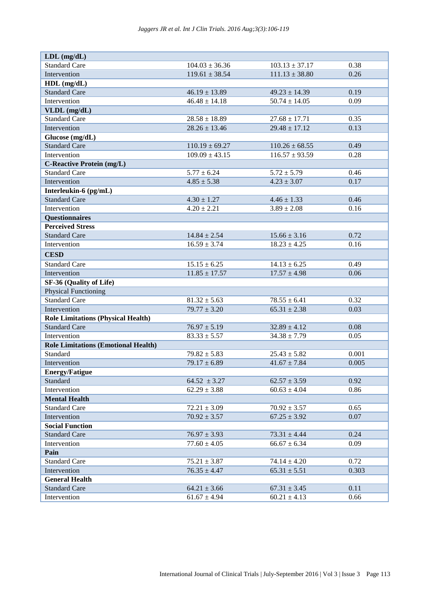| $LDL$ (mg/dL)                              |                              |                    |       |
|--------------------------------------------|------------------------------|--------------------|-------|
| <b>Standard Care</b>                       | $104.03 \pm 36.36$           | $103.13 \pm 37.17$ | 0.38  |
| Intervention                               | $119.61 \pm 38.54$           | $111.13 \pm 38.80$ | 0.26  |
| $HDL$ (mg/dL)                              |                              |                    |       |
| <b>Standard Care</b>                       | $46.19 \pm 13.89$            | $49.23 \pm 14.39$  | 0.19  |
| Intervention                               | $\overline{46.48 \pm 14.18}$ | $50.74 \pm 14.05$  | 0.09  |
| VLDL (mg/dL)                               |                              |                    |       |
| <b>Standard Care</b>                       | $28.58 \pm 18.89$            | $27.68 \pm 17.71$  | 0.35  |
| Intervention                               | $28.26 \pm 13.46$            | $29.48 \pm 17.12$  | 0.13  |
| Glucose (mg/dL)                            |                              |                    |       |
| <b>Standard Care</b>                       | $110.19 \pm 69.27$           | $110.26 \pm 68.55$ | 0.49  |
| Intervention                               | $109.09 \pm 43.15$           | $116.57 \pm 93.59$ | 0.28  |
| <b>C-Reactive Protein (mg/L)</b>           |                              |                    |       |
| <b>Standard Care</b>                       | $5.77 \pm 6.24$              | $5.72 \pm 5.79$    | 0.46  |
| Intervention                               | $4.85 \pm 5.38$              | $4.23 \pm 3.07$    | 0.17  |
| Interleukin-6 (pg/mL)                      |                              |                    |       |
| <b>Standard Care</b>                       | $4.30 \pm 1.27$              | $4.46 \pm 1.33$    | 0.46  |
| Intervention                               | $4.20 \pm 2.21$              | $3.89 \pm 2.08$    | 0.16  |
| <b>Questionnaires</b>                      |                              |                    |       |
| <b>Perceived Stress</b>                    |                              |                    |       |
| <b>Standard Care</b>                       | $14.84 \pm 2.54$             | $15.66 \pm 3.16$   | 0.72  |
| Intervention                               | $16.59 \pm 3.74$             | $18.23 \pm 4.25$   | 0.16  |
| <b>CESD</b>                                |                              |                    |       |
| <b>Standard Care</b>                       | $15.15 \pm 6.25$             | $14.13 \pm 6.25$   | 0.49  |
| Intervention                               | $11.85 \pm 17.57$            | $17.57 \pm 4.98$   | 0.06  |
| SF-36 (Quality of Life)                    |                              |                    |       |
| <b>Physical Functioning</b>                |                              |                    |       |
| <b>Standard Care</b>                       | $81.32 \pm 5.63$             | $78.55 \pm 6.41$   | 0.32  |
| Intervention                               | $79.77 \pm 3.20$             | $65.31 \pm 2.38$   | 0.03  |
| <b>Role Limitations (Physical Health)</b>  |                              |                    |       |
| <b>Standard Care</b>                       | $76.97 \pm 5.19$             | $32.89 \pm 4.12$   | 0.08  |
| Intervention                               | $83.33 \pm 5.57$             | $34.38 \pm 7.79$   | 0.05  |
| <b>Role Limitations (Emotional Health)</b> |                              |                    |       |
| Standard                                   | $79.82 \pm 5.83$             | $25.43 \pm 5.82$   | 0.001 |
| Intervention                               | $79.17 \pm 6.89$             | $41.67 \pm 7.84$   | 0.005 |
| <b>Energy/Fatigue</b>                      |                              |                    |       |
| Standard                                   | $64.52 \pm 3.27$             | $62.57 \pm 3.59$   | 0.92  |
| Intervention                               | $62.29 \pm 3.88$             | $60.63 \pm 4.04$   | 0.86  |
| <b>Mental Health</b>                       |                              |                    |       |
| <b>Standard Care</b>                       | $72.21 \pm 3.09$             | $70.92 \pm 3.57$   | 0.65  |
| Intervention                               | $70.92 \pm 3.57$             | $67.25 \pm 3.92$   | 0.07  |
| <b>Social Function</b>                     |                              |                    |       |
| <b>Standard Care</b>                       | $76.97 \pm 3.93$             | $73.31 \pm 4.44$   | 0.24  |
| Intervention                               | $77.60 \pm 4.05$             | $66.67 \pm 6.34$   | 0.09  |
| Pain                                       |                              |                    |       |
| <b>Standard Care</b>                       | $75.21 \pm 3.87$             | $74.14 \pm 4.20$   | 0.72  |
| Intervention                               | $76.35 \pm 4.47$             | $65.31 \pm 5.51$   | 0.303 |
| <b>General Health</b>                      |                              |                    |       |
| <b>Standard Care</b>                       | $64.21 \pm 3.66$             | $67.31 \pm 3.45$   | 0.11  |
| Intervention                               | $61.67 \pm 4.94$             | $60.21 \pm 4.13$   | 0.66  |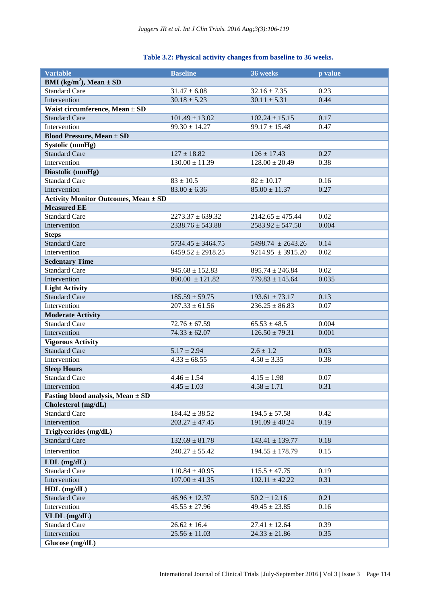| Table 3.2: Physical activity changes from baseline to 36 weeks. |  |  |  |  |  |
|-----------------------------------------------------------------|--|--|--|--|--|
|-----------------------------------------------------------------|--|--|--|--|--|

| <b>Variable</b>                                  | <b>Baseline</b>       | 36 weeks              | p value |
|--------------------------------------------------|-----------------------|-----------------------|---------|
| <b>BMI</b> (kg/m <sup>2</sup> ), Mean $\pm$ SD   |                       |                       |         |
| <b>Standard Care</b>                             | $31.47 \pm 6.08$      | $32.16 \pm 7.35$      | 0.23    |
| Intervention                                     | $30.18 \pm 5.23$      | $30.11 \pm 5.31$      | 0.44    |
| Waist circumference, Mean $\pm$ SD               |                       |                       |         |
| <b>Standard Care</b>                             | $101.49 \pm 13.02$    | $102.24 \pm 15.15$    | 0.17    |
| Intervention                                     | $99.30 \pm 14.27$     | $99.17 \pm 15.48$     | 0.47    |
| <b>Blood Pressure, Mean ± SD</b>                 |                       |                       |         |
| Systolic (mmHg)                                  |                       |                       |         |
| <b>Standard Care</b>                             | $127 \pm 18.82$       | $126 \pm 17.43$       | 0.27    |
| Intervention                                     | $130.00 \pm 11.39$    | $128.00 \pm 20.49$    | 0.38    |
| Diastolic (mmHg)                                 |                       |                       |         |
| <b>Standard Care</b>                             | $83 \pm 10.5$         | $82 \pm 10.17$        | 0.16    |
| Intervention                                     | $83.00 \pm 6.36$      | $85.00 \pm 11.37$     | 0.27    |
| <b>Activity Monitor Outcomes, Mean ± SD</b>      |                       |                       |         |
| <b>Measured EE</b>                               |                       |                       |         |
| <b>Standard Care</b>                             | $2273.37 \pm 639.32$  | $2142.65 \pm 475.44$  | 0.02    |
| Intervention                                     | $2338.76 \pm 543.88$  | $2583.92 \pm 547.50$  | 0.004   |
| <b>Steps</b>                                     |                       |                       |         |
| <b>Standard Care</b>                             | $5734.45 \pm 3464.75$ | $5498.74 \pm 2643.26$ | 0.14    |
| Intervention                                     | $6459.52 \pm 2918.25$ | $9214.95 \pm 3915.20$ | 0.02    |
| <b>Sedentary Time</b>                            |                       |                       |         |
| <b>Standard Care</b>                             | $945.68 \pm 152.83$   | $895.74 \pm 246.84$   | 0.02    |
| Intervention                                     | $890.00 \pm 121.82$   | $779.83 \pm 145.64$   | 0.035   |
| <b>Light Activity</b>                            |                       |                       |         |
| <b>Standard Care</b>                             | $185.59 \pm 59.75$    | $193.61 \pm 73.17$    | 0.13    |
| Intervention                                     | $207.33 \pm 61.56$    | $236.25 \pm 86.83$    | 0.07    |
| <b>Moderate Activity</b>                         |                       |                       |         |
| <b>Standard Care</b>                             | $72.76 \pm 67.59$     | $65.53 \pm 48.5$      | 0.004   |
| Intervention                                     | $74.33 \pm 62.07$     | $126.50 \pm 79.31$    | 0.001   |
| <b>Vigorous Activity</b><br><b>Standard Care</b> |                       |                       |         |
|                                                  | $5.17 \pm 2.94$       | $2.6 \pm 1.2$         | 0.03    |
| Intervention<br><b>Sleep Hours</b>               | $4.33 \pm 68.55$      | $4.50 \pm 3.35$       | 0.38    |
| <b>Standard Care</b>                             | $4.46 \pm 1.54$       | $4.15 \pm 1.98$       | 0.07    |
| Intervention                                     | $4.45 \pm 1.03$       | $4.58 \pm 1.71$       | 0.31    |
| Fasting blood analysis, Mean $\pm$ SD            |                       |                       |         |
| Cholesterol (mg/dL)                              |                       |                       |         |
| <b>Standard Care</b>                             | $184.42 \pm 38.52$    | $194.5 \pm 57.58$     | 0.42    |
| Intervention                                     | $203.27 \pm 47.45$    | $191.09 \pm 40.24$    | 0.19    |
| Triglycerides (mg/dL)                            |                       |                       |         |
| <b>Standard Care</b>                             | $132.69 \pm 81.78$    | $143.41 \pm 139.77$   | 0.18    |
|                                                  |                       |                       |         |
| Intervention                                     | $240.27 \pm 55.42$    | $194.55 \pm 178.79$   | 0.15    |
| $LDL$ (mg/dL)                                    |                       |                       |         |
| <b>Standard Care</b>                             | $110.84 \pm 40.95$    | $115.5 \pm 47.75$     | 0.19    |
| Intervention                                     | $107.00 \pm 41.35$    | $102.11 \pm 42.22$    | 0.31    |
| $HDL$ (mg/dL)                                    |                       |                       |         |
| <b>Standard Care</b>                             | $46.96 \pm 12.37$     | $50.2 \pm 12.16$      | 0.21    |
| Intervention                                     | $45.55 \pm 27.96$     | $49.45 \pm 23.85$     | 0.16    |
| VLDL (mg/dL)                                     |                       |                       |         |
| <b>Standard Care</b>                             | $26.62 \pm 16.4$      | $27.41 \pm 12.64$     | 0.39    |
| Intervention                                     | $25.56 \pm 11.03$     | $24.33 \pm 21.86$     | 0.35    |
| Glucose (mg/dL)                                  |                       |                       |         |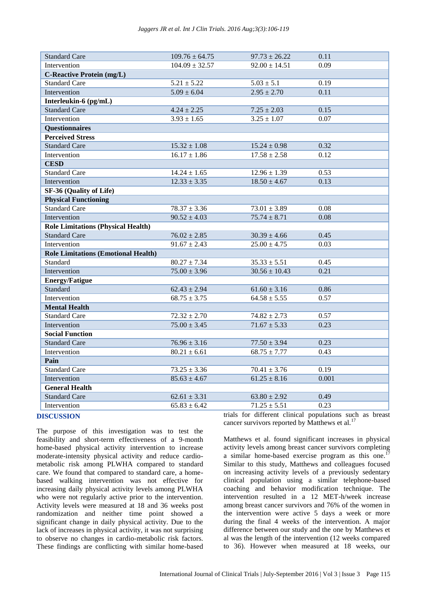| <b>Standard Care</b>                       | $109.76 \pm 64.75$      | $97.73 \pm 26.22$ | 0.11  |
|--------------------------------------------|-------------------------|-------------------|-------|
| Intervention                               | $104.09 \pm 32.57$      | $92.00 \pm 14.51$ | 0.09  |
| <b>C-Reactive Protein (mg/L)</b>           |                         |                   |       |
| <b>Standard Care</b>                       | $5.21 \pm 5.22$         | $5.03 \pm 5.1$    | 0.19  |
| Intervention                               | $5.09 \pm 6.04$         | $2.95 \pm 2.70$   | 0.11  |
| Interleukin-6 (pg/mL)                      |                         |                   |       |
| <b>Standard Care</b>                       | $4.24 \pm 2.25$         | $7.25 \pm 2.03$   | 0.15  |
| Intervention                               | $3.93 \pm 1.65$         | $3.25 \pm 1.07$   | 0.07  |
| <b>Questionnaires</b>                      |                         |                   |       |
| <b>Perceived Stress</b>                    |                         |                   |       |
| <b>Standard Care</b>                       | $15.32 \pm 1.08$        | $15.24 \pm 0.98$  | 0.32  |
| Intervention                               | $16.17 \pm 1.86$        | $17.58 \pm 2.58$  | 0.12  |
| <b>CESD</b>                                |                         |                   |       |
| <b>Standard Care</b>                       | $14.24\pm1.65$          | $12.96 \pm 1.39$  | 0.53  |
| Intervention                               | $12.33 \pm 3.35$        | $18.50 \pm 4.67$  | 0.13  |
| SF-36 (Quality of Life)                    |                         |                   |       |
| <b>Physical Functioning</b>                |                         |                   |       |
| <b>Standard Care</b>                       | $78.37 \pm 3.36$        | $73.01 \pm 3.89$  | 0.08  |
| Intervention                               | $90.52 \pm 4.03$        | $75.74 \pm 8.71$  | 0.08  |
| <b>Role Limitations (Physical Health)</b>  |                         |                   |       |
| <b>Standard Care</b>                       | $76.02 \pm 2.85$        | $30.39 \pm 4.66$  | 0.45  |
| Intervention                               | $91.67 \pm 2.43$        | $25.00 \pm 4.75$  | 0.03  |
| <b>Role Limitations (Emotional Health)</b> |                         |                   |       |
| Standard                                   | $80.27 \pm 7.34$        | $35.33 \pm 5.51$  | 0.45  |
| Intervention                               | $75.00 \pm 3.96$        | $30.56 \pm 10.43$ | 0.21  |
| <b>Energy/Fatigue</b>                      |                         |                   |       |
| Standard                                   | $62.43 \pm 2.94$        | $61.60 \pm 3.16$  | 0.86  |
| Intervention                               | $68.75 \pm 3.75$        | $64.58 \pm 5.55$  | 0.57  |
| <b>Mental Health</b>                       |                         |                   |       |
| <b>Standard Care</b>                       | $72.32 \pm 2.70$        | $74.82 \pm 2.73$  | 0.57  |
| Intervention                               | $75.00 \pm 3.45$        | $71.67 \pm 5.33$  | 0.23  |
| <b>Social Function</b>                     |                         |                   |       |
| <b>Standard Care</b>                       | $76.96 \pm 3.16$        | $77.50 \pm 3.94$  | 0.23  |
| Intervention                               | $80.21 \pm 6.61$        | $68.75 \pm 7.77$  | 0.43  |
| Pain                                       |                         |                   |       |
| <b>Standard Care</b>                       | $73.25 \pm 3.36$        | $70.41 \pm 3.76$  | 0.19  |
| Intervention                               | $85.63 \pm 4.67$        | $61.25 \pm 8.16$  | 0.001 |
| <b>General Health</b>                      |                         |                   |       |
| <b>Standard Care</b>                       | $62.61 \pm 3.31$        | $63.80 \pm 2.92$  | 0.49  |
| Intervention                               | $65.83 \pm 6.42$        | $71.25 \pm 5.51$  | 0.23  |
|                                            | $\cdot$ $\cdot$ $\cdot$ | 1.00              | 1.11  |

#### **DISCUSSION**

The purpose of this investigation was to test the feasibility and short-term effectiveness of a 9-month home-based physical activity intervention to increase moderate-intensity physical activity and reduce cardiometabolic risk among PLWHA compared to standard care. We found that compared to standard care, a homebased walking intervention was not effective for increasing daily physical activity levels among PLWHA who were not regularly active prior to the intervention. Activity levels were measured at 18 and 36 weeks post randomization and neither time point showed a significant change in daily physical activity. Due to the lack of increases in physical activity, it was not surprising to observe no changes in cardio-metabolic risk factors. These findings are conflicting with similar home-based

trials for different clinical populations such as breast cancer survivors reported by Matthews et al.<sup>17</sup>

Matthews et al. found significant increases in physical activity levels among breast cancer survivors completing a similar home-based exercise program as this one.<sup>1</sup> Similar to this study, Matthews and colleagues focused on increasing activity levels of a previously sedentary clinical population using a similar telephone-based coaching and behavior modification technique. The intervention resulted in a 12 MET-h/week increase among breast cancer survivors and 76% of the women in the intervention were active 5 days a week or more during the final 4 weeks of the intervention. A major difference between our study and the one by Matthews et al was the length of the intervention (12 weeks compared to 36). However when measured at 18 weeks, our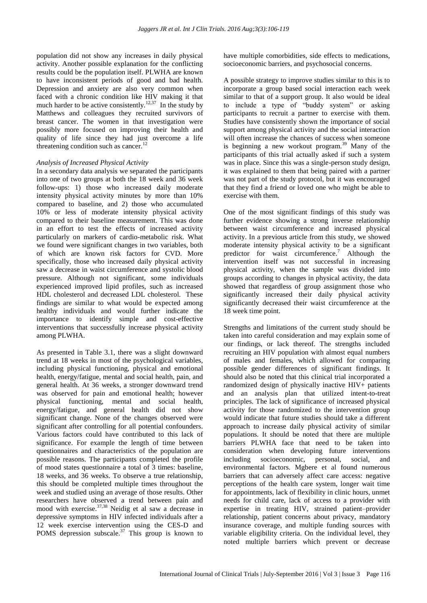population did not show any increases in daily physical activity. Another possible explanation for the conflicting results could be the population itself. PLWHA are known to have inconsistent periods of good and bad health. Depression and anxiety are also very common when faced with a chronic condition like HIV making it that much harder to be active consistently.<sup>12,37</sup> In the study by Matthews and colleagues they recruited survivors of breast cancer. The women in that investigation were possibly more focused on improving their health and quality of life since they had just overcome a life threatening condition such as cancer. $^{12}$ 

#### *Analysis of Increased Physical Activity*

In a secondary data analysis we separated the participants into one of two groups at both the 18 week and 36 week follow-ups: 1) those who increased daily moderate intensity physical activity minutes by more than 10% compared to baseline, and 2) those who accumulated 10% or less of moderate intensity physical activity compared to their baseline measurement. This was done in an effort to test the effects of increased activity particularly on markers of cardio-metabolic risk. What we found were significant changes in two variables, both of which are known risk factors for CVD. More specifically, those who increased daily physical activity saw a decrease in waist circumference and systolic blood pressure. Although not significant, some individuals experienced improved lipid profiles, such as increased HDL cholesterol and decreased LDL cholesterol. These findings are similar to what would be expected among healthy individuals and would further indicate the importance to identify simple and cost-effective interventions that successfully increase physical activity among PLWHA.

As presented in Table 3.1, there was a slight downward trend at 18 weeks in most of the psychological variables, including physical functioning, physical and emotional health, energy/fatigue, mental and social health, pain, and general health. At 36 weeks, a stronger downward trend was observed for pain and emotional health; however physical functioning, mental and social health, energy/fatigue, and general health did not show significant change. None of the changes observed were significant after controlling for all potential confounders. Various factors could have contributed to this lack of significance. For example the length of time between questionnaires and characteristics of the population are possible reasons. The participants completed the profile of mood states questionnaire a total of 3 times: baseline, 18 weeks, and 36 weeks. To observe a true relationship, this should be completed multiple times throughout the week and studied using an average of those results. Other researchers have observed a trend between pain and mood with exercise. $37,38$  Neidig et al saw a decrease in depressive symptoms in HIV infected individuals after a 12 week exercise intervention using the CES-D and POMS depression subscale.<sup>37</sup> This group is known to have multiple comorbidities, side effects to medications, socioeconomic barriers, and psychosocial concerns.

A possible strategy to improve studies similar to this is to incorporate a group based social interaction each week similar to that of a support group. It also would be ideal to include a type of "buddy system" or asking participants to recruit a partner to exercise with them. Studies have consistently shown the importance of social support among physical activity and the social interaction will often increase the chances of success when someone is beginning a new workout program.<sup>39</sup> Many of the participants of this trial actually asked if such a system was in place. Since this was a single-person study design, it was explained to them that being paired with a partner was not part of the study protocol, but it was encouraged that they find a friend or loved one who might be able to exercise with them.

One of the most significant findings of this study was further evidence showing a strong inverse relationship between waist circumference and increased physical activity. In a previous article from this study, we showed moderate intensity physical activity to be a significant predictor for waist circumference.<sup>7</sup> Although the intervention itself was not successful in increasing physical activity, when the sample was divided into groups according to changes in physical activity, the data showed that regardless of group assignment those who significantly increased their daily physical activity significantly decreased their waist circumference at the 18 week time point.

Strengths and limitations of the current study should be taken into careful consideration and may explain some of our findings, or lack thereof. The strengths included recruiting an HIV population with almost equal numbers of males and females, which allowed for comparing possible gender differences of significant findings. It should also be noted that this clinical trial incorporated a randomized design of physically inactive HIV+ patients and an analysis plan that utilized intent-to-treat principles. The lack of significance of increased physical activity for those randomized to the intervention group would indicate that future studies should take a different approach to increase daily physical activity of similar populations. It should be noted that there are multiple barriers PLWHA face that need to be taken into consideration when developing future interventions including socioeconomic, personal, social, and environmental factors. Mgbere et al found numerous barriers that can adversely affect care access: negative perceptions of the health care system, longer wait time for appointments, lack of flexibility in clinic hours, unmet needs for child care, lack of access to a provider with expertise in treating HIV, strained patient–provider relationship, patient concerns about privacy, mandatory insurance coverage, and multiple funding sources with variable eligibility criteria. On the individual level, they noted multiple barriers which prevent or decrease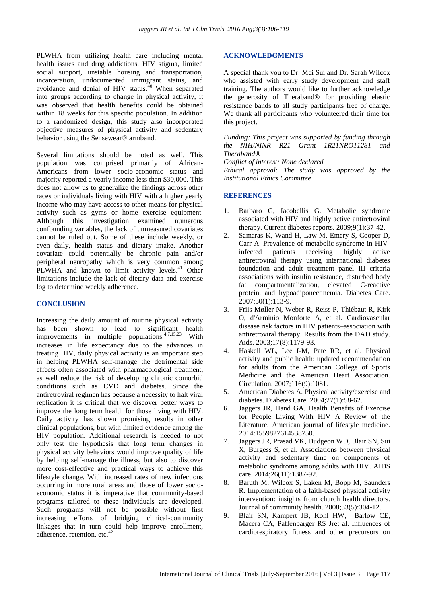PLWHA from utilizing health care including mental health issues and drug addictions, HIV stigma, limited social support, unstable housing and transportation, incarceration, undocumented immigrant status, and avoidance and denial of HIV status.<sup>40</sup> When separated into groups according to change in physical activity, it was observed that health benefits could be obtained within 18 weeks for this specific population. In addition to a randomized design, this study also incorporated objective measures of physical activity and sedentary behavior using the Sensewear® armband.

Several limitations should be noted as well. This population was comprised primarily of African-Americans from lower socio-economic status and majority reported a yearly income less than \$30,000. This does not allow us to generalize the findings across other races or individuals living with HIV with a higher yearly income who may have access to other means for physical activity such as gyms or home exercise equipment. Although this investigation examined numerous confounding variables, the lack of unmeasured covariates cannot be ruled out. Some of these include weekly, or even daily, health status and dietary intake. Another covariate could potentially be chronic pain and/or peripheral neuropathy which is very common among PLWHA and known to limit activity levels.<sup>41</sup> Other limitations include the lack of dietary data and exercise log to determine weekly adherence.

#### **CONCLUSION**

Increasing the daily amount of routine physical activity has been shown to lead to significant health improvements in multiple populations.<sup>4,7,15,23</sup> With increases in life expectancy due to the advances in treating HIV, daily physical activity is an important step in helping PLWHA self-manage the detrimental side effects often associated with pharmacological treatment, as well reduce the risk of developing chronic comorbid conditions such as CVD and diabetes. Since the antiretroviral regimen has because a necessity to halt viral replication it is critical that we discover better ways to improve the long term health for those living with HIV. Daily activity has shown promising results in other clinical populations, but with limited evidence among the HIV population. Additional research is needed to not only test the hypothesis that long term changes in physical activity behaviors would improve quality of life by helping self-manage the illness, but also to discover more cost-effective and practical ways to achieve this lifestyle change. With increased rates of new infections occurring in more rural areas and those of lower socioeconomic status it is imperative that community-based programs tailored to these individuals are developed. Such programs will not be possible without first increasing efforts of bridging clinical-community linkages that in turn could help improve enrollment, adherence, retention, etc.<sup>4</sup>

#### **ACKNOWLEDGMENTS**

A special thank you to Dr. Mei Sui and Dr. Sarah Wilcox who assisted with early study development and staff training. The authors would like to further acknowledge the generosity of Theraband® for providing elastic resistance bands to all study participants free of charge. We thank all participants who volunteered their time for this project.

*Funding: This project was supported by funding through the NIH/NINR R21 Grant 1R21NRO11281 and Theraband®*

*Conflict of interest: None declared*

*Ethical approval: The study was approved by the Institutional Ethics Committee*

#### **REFERENCES**

- 1. Barbaro G, Iacobellis G. Metabolic syndrome associated with HIV and highly active antiretroviral therapy. Current diabetes reports. 2009;9(1):37-42.
- 2. Samaras K, Wand H, Law M, Emery S, Cooper D, Carr A. Prevalence of metabolic syndrome in HIVinfected patients receiving highly active antiretroviral therapy using international diabetes foundation and adult treatment panel III criteria associations with insulin resistance, disturbed body fat compartmentalization, elevated C-reactive protein, and hypoadiponectinemia. Diabetes Care. 2007;30(1):113-9.
- 3. Friis-Møller N, Weber R, Reiss P, Thiébaut R, Kirk O, d'Arminio Monforte A, et al. Cardiovascular disease risk factors in HIV patients–association with antiretroviral therapy. Results from the DAD study. Aids. 2003;17(8):1179-93.
- 4. Haskell WL, Lee I-M, Pate RR, et al. Physical activity and public health: updated recommendation for adults from the American College of Sports Medicine and the American Heart Association. Circulation. 2007;116(9):1081.
- 5. American Diabetes A. Physical activity/exercise and diabetes. Diabetes Care. 2004;27(1):58-62.
- 6. Jaggers JR, Hand GA. Health Benefits of Exercise for People Living With HIV A Review of the Literature. American journal of lifestyle medicine. 2014:1559827614538750.
- 7. Jaggers JR, Prasad VK, Dudgeon WD, Blair SN, Sui X, Burgess S, et al. Associations between physical activity and sedentary time on components of metabolic syndrome among adults with HIV. AIDS care. 2014;26(11):1387-92.
- 8. Baruth M, Wilcox S, Laken M, Bopp M, Saunders R. Implementation of a faith-based physical activity intervention: insights from church health directors. Journal of community health. 2008;33(5):304-12.
- 9. Blair SN, Kampert JB, Kohl HW, Barlow CE, Macera CA, Paffenbarger RS Jret al. Influences of cardiorespiratory fitness and other precursors on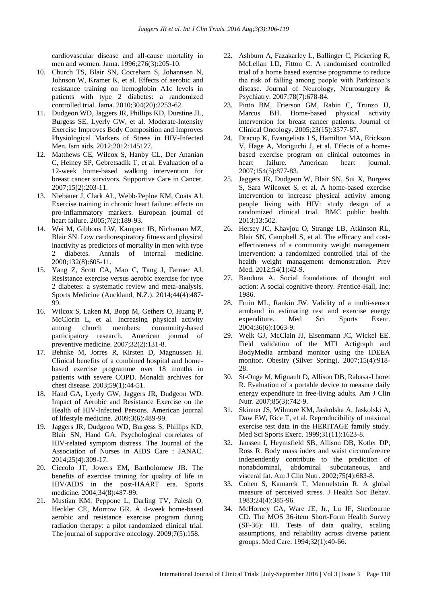cardiovascular disease and all-cause mortality in men and women. Jama. 1996;276(3):205-10.

- 10. Church TS, Blair SN, Cocreham S, Johannsen N, Johnson W, Kramer K, et al. Effects of aerobic and resistance training on hemoglobin A1c levels in patients with type 2 diabetes: a randomized controlled trial. Jama. 2010;304(20):2253-62.
- 11. Dudgeon WD, Jaggers JR, Phillips KD, Durstine JL, Burgess SE, Lyerly GW, et al. Moderate-Intensity Exercise Improves Body Composition and Improves Physiological Markers of Stress in HIV-Infected Men. Isrn aids. 2012;2012:145127.
- 12. Matthews CE, Wilcox S, Hanby CL, Der Ananian C, Heiney SP, Gebretsadik T, et al. Evaluation of a 12-week home-based walking intervention for breast cancer survivors. Supportive Care in Cancer. 2007;15(2):203-11.
- 13. Niebauer J, Clark AL, Webb‐Peploe KM, Coats AJ. Exercise training in chronic heart failure: effects on pro‐inflammatory markers. European journal of heart failure. 2005;7(2):189-93.
- 14. Wei M, Gibbons LW, Kampert JB, Nichaman MZ, Blair SN. Low cardiorespiratory fitness and physical inactivity as predictors of mortality in men with type 2 diabetes. Annals of internal medicine. 2000;132(8):605-11.
- 15. Yang Z, Scott CA, Mao C, Tang J, Farmer AJ. Resistance exercise versus aerobic exercise for type 2 diabetes: a systematic review and meta-analysis. Sports Medicine (Auckland, N.Z.). 2014;44(4):487- 99.
- 16. Wilcox S, Laken M, Bopp M, Gethers O, Huang P, McClorin L, et al. Increasing physical activity among church members: community-based participatory research. American journal of preventive medicine. 2007;32(2):131-8.
- 17. Behnke M, Jorres R, Kirsten D, Magnussen H. Clinical benefits of a combined hospital and homebased exercise programme over 18 months in patients with severe COPD. Monaldi archives for chest disease. 2003;59(1):44-51.
- 18. Hand GA, Lyerly GW, Jaggers JR, Dudgeon WD. Impact of Aerobic and Resistance Exercise on the Health of HIV-Infected Persons. American journal of lifestyle medicine. 2009;3(6):489-99.
- 19. Jaggers JR, Dudgeon WD, Burgess S, Phillips KD, Blair SN, Hand GA. Psychological correlates of HIV-related symptom distress. The Journal of the Association of Nurses in AIDS Care : JANAC. 2014;25(4):309-17.
- 20. Ciccolo JT, Jowers EM, Bartholomew JB. The benefits of exercise training for quality of life in HIV/AIDS in the post-HAART era. Sports medicine. 2004;34(8):487-99.
- 21. Mustian KM, Peppone L, Darling TV, Palesh O, Heckler CE, Morrow GR. A 4-week home-based aerobic and resistance exercise program during radiation therapy: a pilot randomized clinical trial. The journal of supportive oncology. 2009;7(5):158.
- 22. Ashburn A, Fazakarley L, Ballinger C, Pickering R, McLellan LD, Fitton C. A randomised controlled trial of a home based exercise programme to reduce the risk of falling among people with Parkinson's disease. Journal of Neurology, Neurosurgery & Psychiatry. 2007;78(7):678-84.
- 23. Pinto BM, Frierson GM, Rabin C, Trunzo JJ, Marcus BH. Home-based physical activity intervention for breast cancer patients. Journal of Clinical Oncology. 2005;23(15):3577-87.
- 24. Dracup K, Evangelista LS, Hamilton MA, Erickson V, Hage A, Moriguchi J, et al. Effects of a homebased exercise program on clinical outcomes in heart failure. American heart journal. 2007;154(5):877-83.
- 25. Jaggers JR, Dudgeon W, Blair SN, Sui X, Burgess S, Sara Wilcoxet S, et al. A home-based exercise intervention to increase physical activity among people living with HIV: study design of a randomized clinical trial. BMC public health. 2013;13:502.
- 26. Hersey JC, Khavjou O, Strange LB, Atkinson RL, Blair SN, Campbell S, et al. The efficacy and costeffectiveness of a community weight management intervention: a randomized controlled trial of the health weight management demonstration. Prev Med. 2012;54(1):42-9.
- 27. Bandura A. Social foundations of thought and action: A social cognitive theory. Prentice-Hall, Inc; 1986.
- 28. Fruin ML, Rankin JW. Validity of a multi-sensor armband in estimating rest and exercise energy expenditure. Med Sci Sports Exerc. 2004;36(6):1063-9.
- 29. Welk GJ, McClain JJ, Eisenmann JC, Wickel EE. Field validation of the MTI Actigraph and BodyMedia armband monitor using the IDEEA monitor. Obesity (Silver Spring). 2007;15(4):918- 28.
- 30. St-Onge M, Mignault D, Allison DB, Rabasa-Lhoret R. Evaluation of a portable device to measure daily energy expenditure in free-living adults. Am J Clin Nutr. 2007;85(3):742-9.
- 31. Skinner JS, Wilmore KM, Jaskolska A, Jaskolski A, Daw EW, Rice T, et al. Reproducibility of maximal exercise test data in the HERITAGE family study. Med Sci Sports Exerc. 1999;31(11):1623-8.
- 32. Janssen I, Heymsfield SB, Allison DB, Kotler DP, Ross R. Body mass index and waist circumference independently contribute to the prediction of nonabdominal, abdominal subcutaneous, and visceral fat. Am J Clin Nutr. 2002;75(4):683-8.
- 33. Cohen S, Kamarck T, Mermelstein R. A global measure of perceived stress. J Health Soc Behav. 1983;24(4):385-96.
- 34. McHorney CA, Ware JE, Jr., Lu JF, Sherbourne CD. The MOS 36-item Short-Form Health Survey (SF-36): III. Tests of data quality, scaling assumptions, and reliability across diverse patient groups. Med Care. 1994;32(1):40-66.